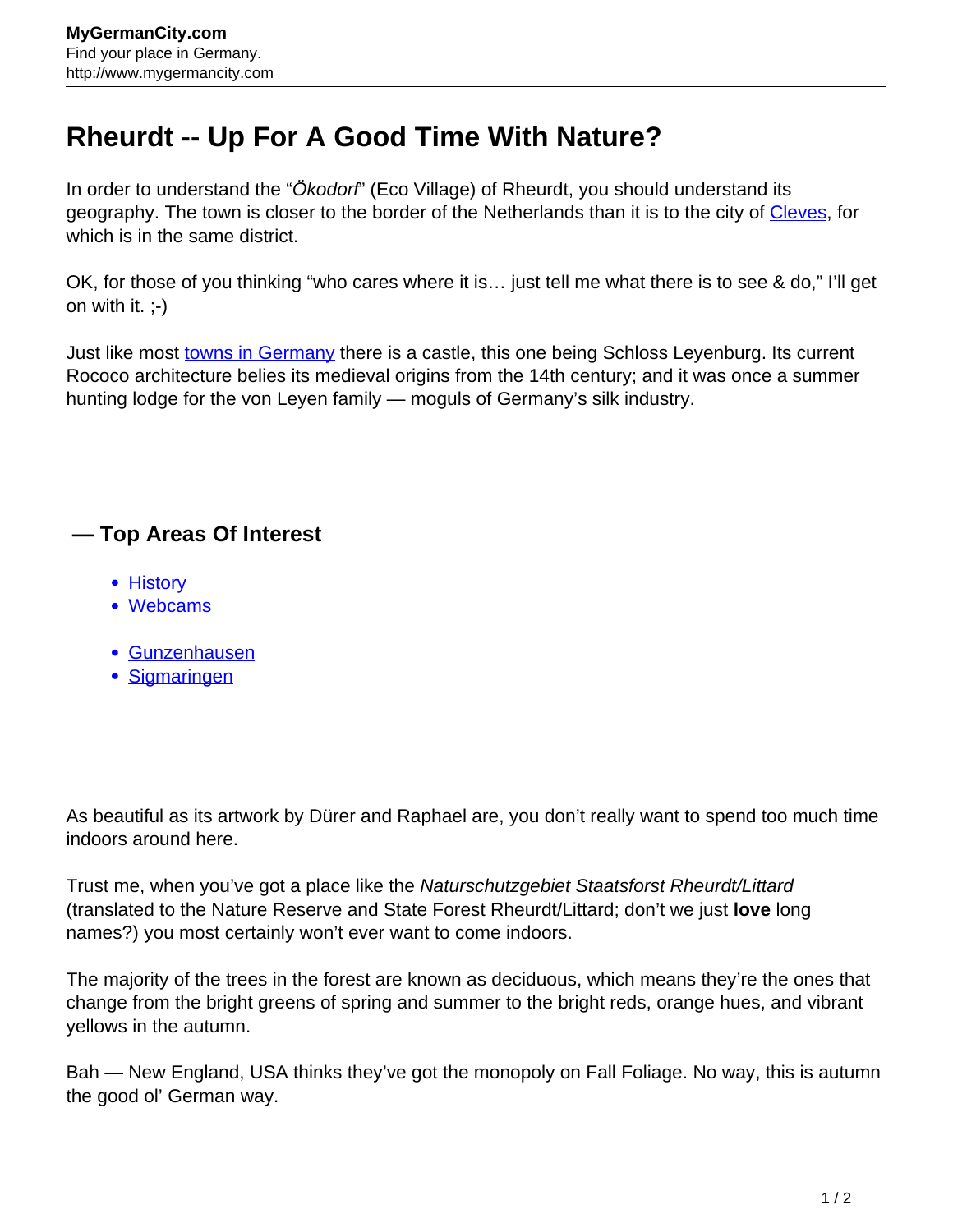## **Rheurdt -- Up For A Good Time With Nature?**

In order to understand the "Okodorf" (Eco Village) of Rheurdt, you should understand its geography. The town is closer to the border of the Netherlands than it is to the city of [Cleves](http://www.mygermancity.com/cleves), for which is in the same district.

OK, for those of you thinking "who cares where it is… just tell me what there is to see & do," I'll get on with it.  $(-)$ 

Just like most [towns in Germany](http://www.mygermancity.com/german-cities) there is a castle, this one being Schloss Leyenburg. Its current Rococo architecture belies its medieval origins from the 14th century; and it was once a summer hunting lodge for the von Leyen family — moguls of Germany's silk industry.

## **— Top Areas Of Interest**

- [History](http://www.mygermancity.com/leipzig-history)
- [Webcams](http://www.mygermancity.com/neustadt-holstein-webcams)
- [Gunzenhausen](http://www.mygermancity.com/gunzenhausen)
- [Sigmaringen](http://www.mygermancity.com/sigmaringen)

As beautiful as its artwork by Dürer and Raphael are, you don't really want to spend too much time indoors around here.

Trust me, when you've got a place like the Naturschutzgebiet Staatsforst Rheurdt/Littard (translated to the Nature Reserve and State Forest Rheurdt/Littard; don't we just **love** long names?) you most certainly won't ever want to come indoors.

The majority of the trees in the forest are known as deciduous, which means they're the ones that change from the bright greens of spring and summer to the bright reds, orange hues, and vibrant yellows in the autumn.

Bah — New England, USA thinks they've got the monopoly on Fall Foliage. No way, this is autumn the good ol' German way.